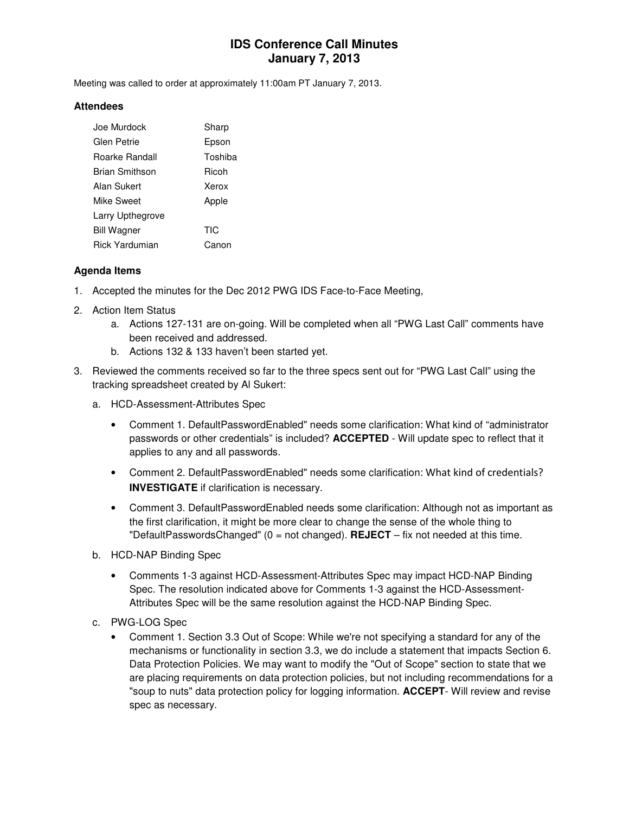# **IDS Conference Call Minutes January 7, 2013**

Meeting was called to order at approximately 11:00am PT January 7, 2013.

#### **Attendees**

| Joe Murdock      | Sharp      |
|------------------|------------|
| Glen Petrie      | Epson      |
| Roarke Randall   | Toshiba    |
| Brian Smithson   | Ricoh      |
| Alan Sukert      | Xerox      |
| Mike Sweet       | Apple      |
| Larry Upthegrove |            |
| Bill Wagner      | <b>TIC</b> |
| Rick Yardumian   | Canon      |

### **Agenda Items**

- 1. Accepted the minutes for the Dec 2012 PWG IDS Face-to-Face Meeting,
- 2. Action Item Status
	- a. Actions 127-131 are on-going. Will be completed when all "PWG Last Call" comments have been received and addressed.
	- b. Actions 132 & 133 haven't been started yet.
- 3. Reviewed the comments received so far to the three specs sent out for "PWG Last Call" using the tracking spreadsheet created by Al Sukert:
	- a. HCD-Assessment-Attributes Spec
		- Comment 1. DefaultPasswordEnabled" needs some clarification: What kind of "administrator passwords or other credentials" is included? **ACCEPTED** - Will update spec to reflect that it applies to any and all passwords.
		- Comment 2. DefaultPasswordEnabled" needs some clarification: What kind of credentials? **INVESTIGATE** if clarification is necessary.
		- Comment 3. DefaultPasswordEnabled needs some clarification: Although not as important as the first clarification, it might be more clear to change the sense of the whole thing to "DefaultPasswordsChanged"  $(0 = not changed)$ . **REJECT** – fix not needed at this time.
	- b. HCD-NAP Binding Spec
		- Comments 1-3 against HCD-Assessment-Attributes Spec may impact HCD-NAP Binding Spec. The resolution indicated above for Comments 1-3 against the HCD-Assessment-Attributes Spec will be the same resolution against the HCD-NAP Binding Spec.
	- c. PWG-LOG Spec
		- Comment 1. Section 3.3 Out of Scope: While we're not specifying a standard for any of the mechanisms or functionality in section 3.3, we do include a statement that impacts Section 6. Data Protection Policies. We may want to modify the "Out of Scope" section to state that we are placing requirements on data protection policies, but not including recommendations for a "soup to nuts" data protection policy for logging information. **ACCEPT**- Will review and revise spec as necessary.